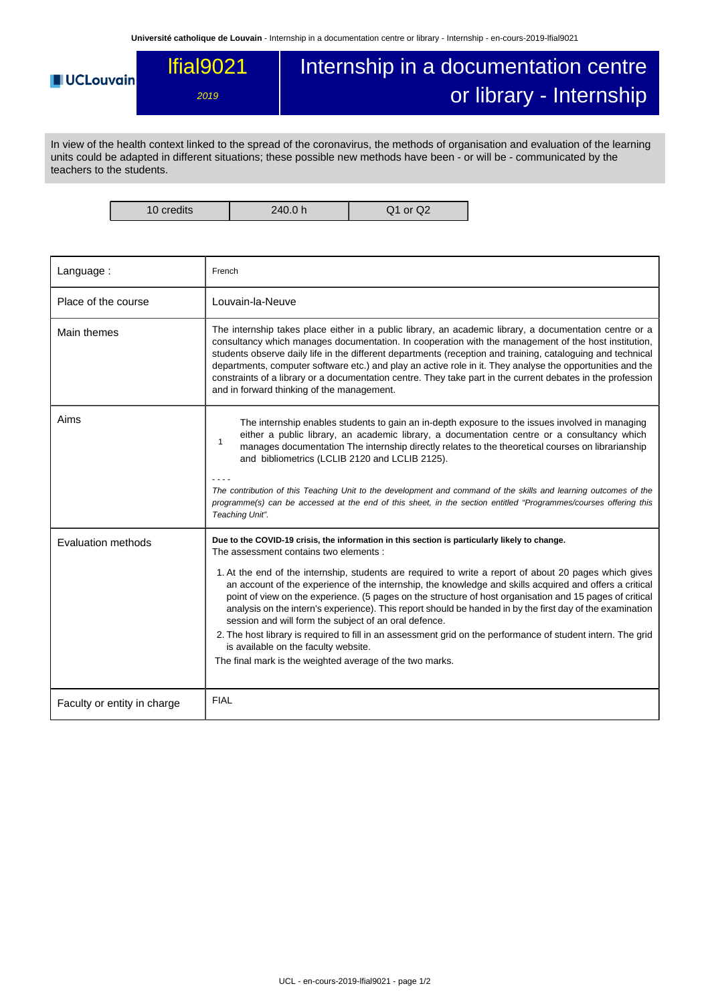## Internship in a documentation centre lfial9021 **UCLouvain** or library - Internship 2019

In view of the health context linked to the spread of the coronavirus, the methods of organisation and evaluation of the learning units could be adapted in different situations; these possible new methods have been - or will be - communicated by the teachers to the students.

10 credits 240.0 h Q1 or Q2

| Language:                   | French                                                                                                                                                                                                                                                                                                                                                                                                                                                                                                                                                                                                                           |
|-----------------------------|----------------------------------------------------------------------------------------------------------------------------------------------------------------------------------------------------------------------------------------------------------------------------------------------------------------------------------------------------------------------------------------------------------------------------------------------------------------------------------------------------------------------------------------------------------------------------------------------------------------------------------|
| Place of the course         | Louvain-la-Neuve                                                                                                                                                                                                                                                                                                                                                                                                                                                                                                                                                                                                                 |
| Main themes                 | The internship takes place either in a public library, an academic library, a documentation centre or a<br>consultancy which manages documentation. In cooperation with the management of the host institution,<br>students observe daily life in the different departments (reception and training, cataloguing and technical<br>departments, computer software etc.) and play an active role in it. They analyse the opportunities and the<br>constraints of a library or a documentation centre. They take part in the current debates in the profession<br>and in forward thinking of the management.                        |
| Aims                        | The internship enables students to gain an in-depth exposure to the issues involved in managing<br>either a public library, an academic library, a documentation centre or a consultancy which<br>$\mathbf{1}$<br>manages documentation The internship directly relates to the theoretical courses on librarianship<br>and bibliometrics (LCLIB 2120 and LCLIB 2125).<br>The contribution of this Teaching Unit to the development and command of the skills and learning outcomes of the<br>programme(s) can be accessed at the end of this sheet, in the section entitled "Programmes/courses offering this<br>Teaching Unit". |
| Evaluation methods          | Due to the COVID-19 crisis, the information in this section is particularly likely to change.<br>The assessment contains two elements :                                                                                                                                                                                                                                                                                                                                                                                                                                                                                          |
|                             | 1. At the end of the internship, students are required to write a report of about 20 pages which gives<br>an account of the experience of the internship, the knowledge and skills acquired and offers a critical<br>point of view on the experience. (5 pages on the structure of host organisation and 15 pages of critical<br>analysis on the intern's experience). This report should be handed in by the first day of the examination<br>session and will form the subject of an oral defence.                                                                                                                              |
|                             | 2. The host library is required to fill in an assessment grid on the performance of student intern. The grid<br>is available on the faculty website.<br>The final mark is the weighted average of the two marks.                                                                                                                                                                                                                                                                                                                                                                                                                 |
|                             |                                                                                                                                                                                                                                                                                                                                                                                                                                                                                                                                                                                                                                  |
| Faculty or entity in charge | <b>FIAL</b>                                                                                                                                                                                                                                                                                                                                                                                                                                                                                                                                                                                                                      |